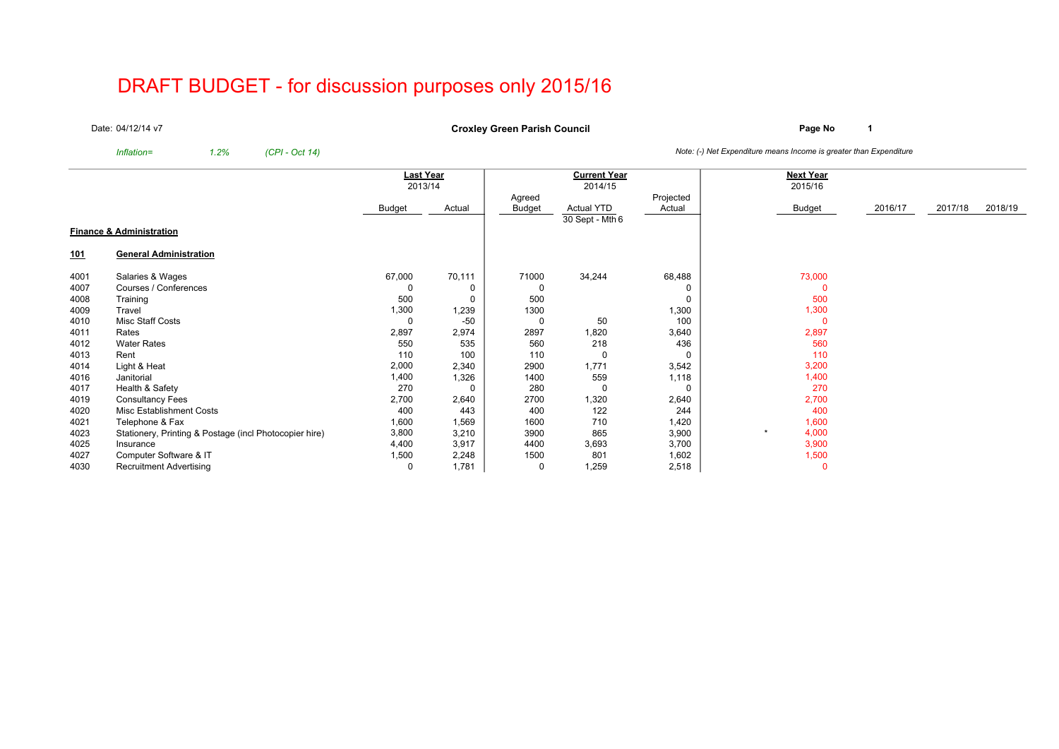# DRAFT BUDGET - for discussion purposes only 2015/16

Date:04/12/14 v7

**Page No <sup>1</sup> Croxley Green Parish Council**

*Inflation= 1.2% (CPI - Oct 14) Note: (-) Net Expenditure means Income is greater than Expenditure*

|      |                                                        | <b>Last Year</b> | <b>Current Year</b> |               |                   | <b>Next Year</b> |          |         |         |         |
|------|--------------------------------------------------------|------------------|---------------------|---------------|-------------------|------------------|----------|---------|---------|---------|
|      |                                                        | 2013/14          |                     |               | 2014/15           |                  | 2015/16  |         |         |         |
|      |                                                        |                  |                     | Agreed        |                   | Projected        |          |         |         |         |
|      |                                                        | Budget           | Actual              | <b>Budget</b> | <b>Actual YTD</b> | Actual           | Budget   | 2016/17 | 2017/18 | 2018/19 |
|      |                                                        |                  |                     |               | 30 Sept - Mth 6   |                  |          |         |         |         |
|      | <b>Finance &amp; Administration</b>                    |                  |                     |               |                   |                  |          |         |         |         |
| 101  | <b>General Administration</b>                          |                  |                     |               |                   |                  |          |         |         |         |
| 4001 | Salaries & Wages                                       | 67,000           | 70,111              | 71000         | 34,244            | 68,488           | 73,000   |         |         |         |
| 4007 | Courses / Conferences                                  | 0                |                     | 0             |                   | 0                | $\Omega$ |         |         |         |
| 4008 | Training                                               | 500              | 0                   | 500           |                   | $\mathbf 0$      | 500      |         |         |         |
| 4009 | Travel                                                 | 1,300            | 1,239               | 1300          |                   | 1,300            | 1,300    |         |         |         |
| 4010 | Misc Staff Costs                                       | 0                | $-50$               | 0             | 50                | 100              | $\Omega$ |         |         |         |
| 4011 | Rates                                                  | 2,897            | 2,974               | 2897          | ,820              | 3,640            | 2,897    |         |         |         |
| 4012 | <b>Water Rates</b>                                     | 550              | 535                 | 560           | 218               | 436              | 560      |         |         |         |
| 4013 | Rent                                                   | 110              | 100                 | 110           | 0                 | $\Omega$         | 110      |         |         |         |
| 4014 | Light & Heat                                           | 2,000            | 2,340               | 2900          | 1,771             | 3,542            | 3,200    |         |         |         |
| 4016 | Janitorial                                             | 1,400            | 1,326               | 1400          | 559               | 1,118            | 1,400    |         |         |         |
| 4017 | Health & Safety                                        | 270              | $\Omega$            | 280           | 0                 | $\mathbf 0$      | 270      |         |         |         |
| 4019 | <b>Consultancy Fees</b>                                | 2,700            | 2,640               | 2700          | ,320              | 2,640            | 2,700    |         |         |         |
| 4020 | Misc Establishment Costs                               | 400              | 443                 | 400           | 122               | 244              | 400      |         |         |         |
| 4021 | Telephone & Fax                                        | 1,600            | 1,569               | 1600          | 710               | 1,420            | 1,600    |         |         |         |
| 4023 | Stationery, Printing & Postage (incl Photocopier hire) | 3,800            | 3,210               | 3900          | 865               | 3,900            | 4,000    |         |         |         |
| 4025 | Insurance                                              | 4,400            | 3,917               | 4400          | 3,693             | 3,700            | 3,900    |         |         |         |
| 4027 | Computer Software & IT                                 | 1,500            | 2,248               | 1500          | 801               | 1,602            | 1,500    |         |         |         |
| 4030 | <b>Recruitment Advertising</b>                         | 0                | 1,781               | 0             | 1,259             | 2,518            | $\Omega$ |         |         |         |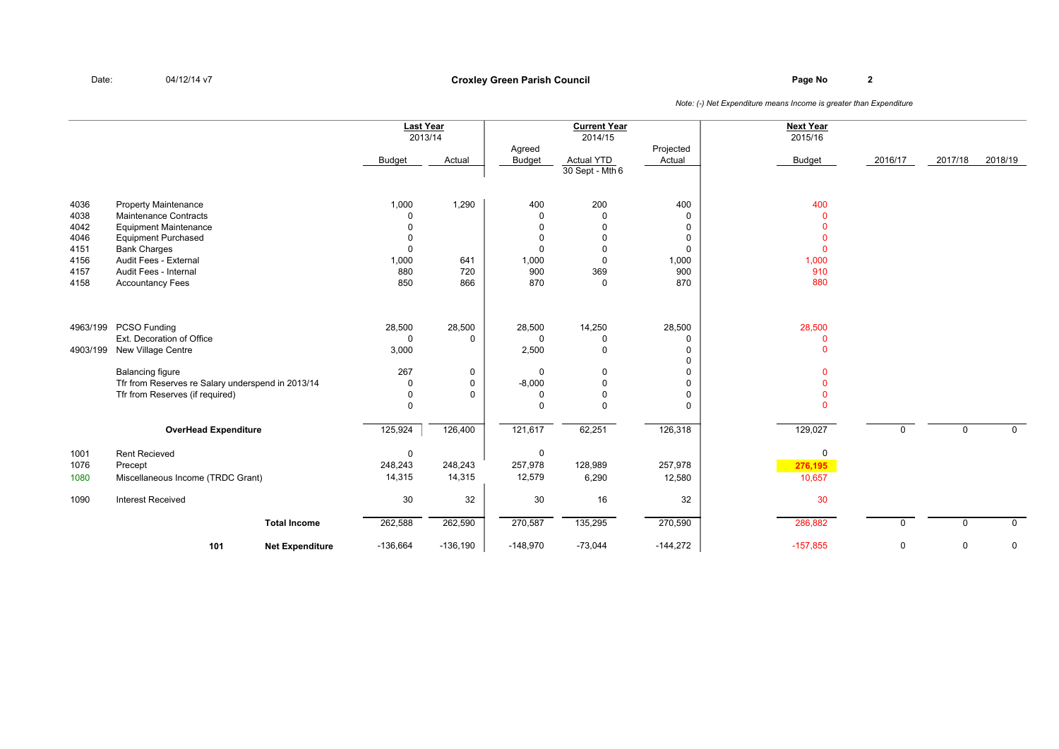## **Page No <sup>2</sup> Croxley Green Parish Council**

|          |                                                   |                        | <b>Last Year</b> |             |               | <b>Current Year</b> |                      | <b>Next Year</b> |             |             |             |
|----------|---------------------------------------------------|------------------------|------------------|-------------|---------------|---------------------|----------------------|------------------|-------------|-------------|-------------|
|          |                                                   |                        | 2013/14          |             |               | 2014/15             |                      | 2015/16          |             |             |             |
|          |                                                   |                        |                  |             | Agreed        |                     | Projected            |                  |             |             |             |
|          |                                                   |                        | <b>Budget</b>    | Actual      | <b>Budget</b> | <b>Actual YTD</b>   | Actual               | <b>Budget</b>    | 2016/17     | 2017/18     | 2018/19     |
|          |                                                   |                        |                  |             |               | 30 Sept - Mth 6     |                      |                  |             |             |             |
|          |                                                   |                        |                  |             |               |                     |                      |                  |             |             |             |
| 4036     | <b>Property Maintenance</b>                       |                        | 1,000            | 1,290       | 400           | 200                 | 400                  | 400              |             |             |             |
| 4038     | Maintenance Contracts                             |                        | $\mathbf 0$      |             | 0             | $\Omega$            | $\mathbf 0$          | $\mathbf{0}$     |             |             |             |
| 4042     | <b>Equipment Maintenance</b>                      |                        | $\mathbf 0$      |             | $\mathbf 0$   | $\Omega$            | $\mathbf 0$          | $\Omega$         |             |             |             |
| 4046     | <b>Equipment Purchased</b>                        |                        | $\mathbf 0$      |             | $\mathbf 0$   | $\Omega$            | 0                    | $\mathbf{0}$     |             |             |             |
| 4151     | <b>Bank Charges</b>                               |                        | $\mathbf 0$      |             | $\Omega$      | $\Omega$            | $\mathbf 0$          | $\mathbf{0}$     |             |             |             |
| 4156     | Audit Fees - External                             |                        | 1,000            | 641         | 1,000         | $\Omega$            | 1,000                | 1,000            |             |             |             |
| 4157     | Audit Fees - Internal                             |                        | 880              | 720         | 900           | 369                 | 900                  | 910              |             |             |             |
| 4158     | <b>Accountancy Fees</b>                           |                        | 850              | 866         | 870           | $\Omega$            | 870                  | 880              |             |             |             |
|          |                                                   |                        |                  |             |               |                     |                      |                  |             |             |             |
|          |                                                   |                        |                  |             |               |                     |                      |                  |             |             |             |
| 4963/199 | PCSO Funding                                      |                        | 28,500           | 28,500      | 28,500        | 14,250              | 28,500               | 28,500           |             |             |             |
|          | Ext. Decoration of Office                         |                        | $\mathbf 0$      | $\mathbf 0$ | $\mathbf 0$   | $\Omega$            | $\mathbf 0$          | $\pmb{0}$        |             |             |             |
| 4903/199 | New Village Centre                                |                        | 3,000            |             | 2,500         | $\mathbf 0$         | $\Omega$<br>$\Omega$ | $\mathbf{0}$     |             |             |             |
|          | <b>Balancing figure</b>                           |                        | 267              | 0           | $\mathbf 0$   | $\Omega$            | $\mathbf 0$          | $\Omega$         |             |             |             |
|          | Tfr from Reserves re Salary underspend in 2013/14 |                        | $\mathbf 0$      | 0           | $-8,000$      | $\Omega$            | $\mathbf 0$          | $\Omega$         |             |             |             |
|          | Tfr from Reserves (if required)                   |                        | $\pmb{0}$        | $\Omega$    | $\mathbf 0$   | $\Omega$            | $\pmb{0}$            | $\Omega$         |             |             |             |
|          |                                                   |                        | $\Omega$         |             | $\Omega$      | $\Omega$            | $\Omega$             | $\Omega$         |             |             |             |
|          | <b>OverHead Expenditure</b>                       |                        | 125,924          | 126,400     | 121,617       | 62,251              | 126,318              | 129,027          | $\mathbf 0$ | $\mathbf 0$ | $\mathbf 0$ |
| 1001     | <b>Rent Recieved</b>                              |                        | 0                |             | $\mathbf 0$   |                     |                      | 0                |             |             |             |
| 1076     | Precept                                           |                        | 248,243          | 248,243     | 257,978       | 128,989             | 257,978              | 276,195          |             |             |             |
| 1080     | Miscellaneous Income (TRDC Grant)                 |                        | 14,315           | 14,315      | 12,579        | 6,290               | 12,580               | 10,657           |             |             |             |
|          |                                                   |                        |                  |             |               |                     |                      |                  |             |             |             |
| 1090     | <b>Interest Received</b>                          |                        | 30               | 32          | 30            | 16                  | 32                   | 30               |             |             |             |
|          |                                                   | <b>Total Income</b>    | 262,588          | 262,590     | 270,587       | 135,295             | 270,590              | 286,882          | $\Omega$    | 0           | $\mathbf 0$ |
|          | 101                                               | <b>Net Expenditure</b> | $-136,664$       | $-136,190$  | $-148,970$    | $-73,044$           | $-144,272$           | $-157,855$       | $\mathbf 0$ | 0           | 0           |
|          |                                                   |                        |                  |             |               |                     |                      |                  |             |             |             |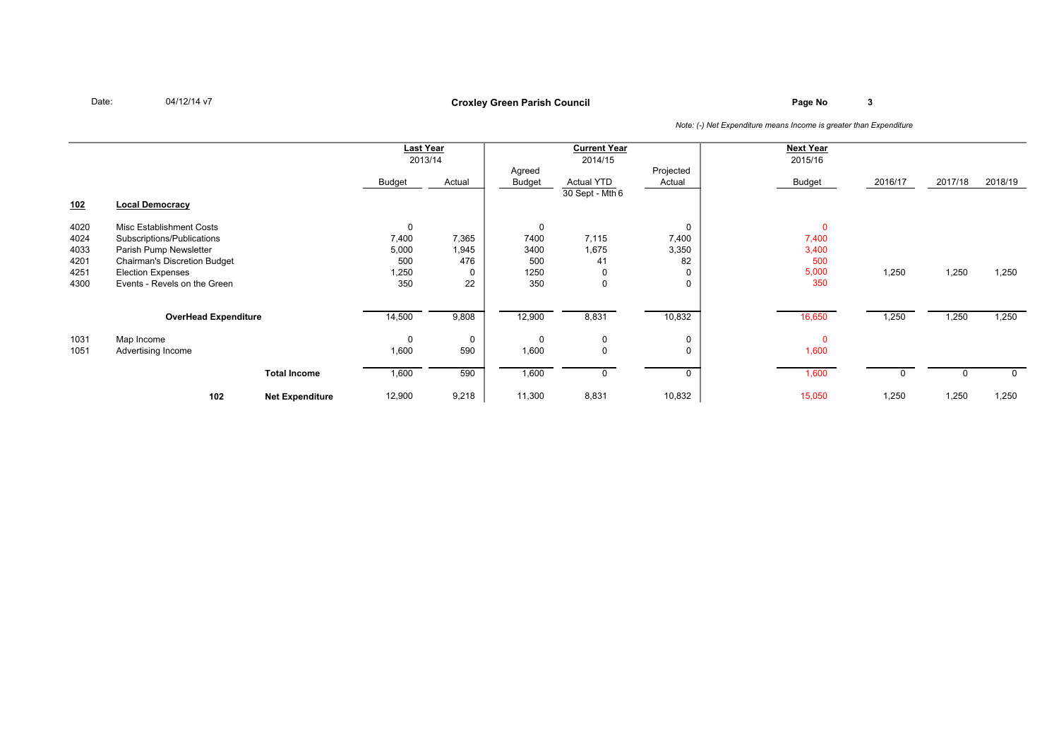### **Page No <sup>3</sup> Croxley Green Parish Council**

|      |                                     |                        | Last Year<br>2013/14 |        | <b>Current Year</b><br>2014/15 |                                        | <b>Next Year</b><br>2015/16 |                |         |          |         |
|------|-------------------------------------|------------------------|----------------------|--------|--------------------------------|----------------------------------------|-----------------------------|----------------|---------|----------|---------|
|      |                                     |                        | Budget               | Actual | Agreed<br><b>Budget</b>        | <b>Actual YTD</b><br>$30$ Sept - Mth 6 | Projected<br>Actual         | Budget         | 2016/17 | 2017/18  | 2018/19 |
| 102  | <b>Local Democracy</b>              |                        |                      |        |                                |                                        |                             |                |         |          |         |
| 4020 | Misc Establishment Costs            |                        | $\mathbf 0$          |        | $\mathbf 0$                    |                                        | 0                           | $\overline{0}$ |         |          |         |
| 4024 | Subscriptions/Publications          |                        | 7,400                | 7,365  | 7400                           | 7,115                                  | 7,400                       | 7,400          |         |          |         |
| 4033 | Parish Pump Newsletter              |                        | 5,000                | 1,945  | 3400                           | 1,675                                  | 3,350                       | 3,400          |         |          |         |
| 4201 | <b>Chairman's Discretion Budget</b> |                        | 500                  | 476    | 500                            | 41                                     | 82                          | 500            |         |          |         |
| 4251 | <b>Election Expenses</b>            |                        | 1,250                |        | 1250                           | $\mathbf 0$                            | 0                           | 5,000          | 1,250   | 1,250    | 1,250   |
| 4300 | Events - Revels on the Green        |                        | 350                  | 22     | 350                            | $\mathbf 0$                            | 0                           | 350            |         |          |         |
|      | <b>OverHead Expenditure</b>         |                        | 14,500               | 9,808  | 12,900                         | 8,831                                  | 10,832                      | 16,650         | 1,250   | 1,250    | 1,250   |
| 1031 | Map Income                          |                        | 0                    | 0      | $\Omega$                       | 0                                      | 0                           |                |         |          |         |
| 1051 | Advertising Income                  |                        | 1,600                | 590    | 1,600                          | $\mathsf 0$                            | 0                           | 1,600          |         |          |         |
|      |                                     | <b>Total Income</b>    | 1,600                | 590    | 1,600                          | 0                                      | 0                           | 1,600          | 0       | $\Omega$ | 0       |
|      | 102                                 | <b>Net Expenditure</b> | 12,900               | 9,218  | 11,300                         | 8,831                                  | 10,832                      | 15,050         | 1,250   | 1,250    | 1,250   |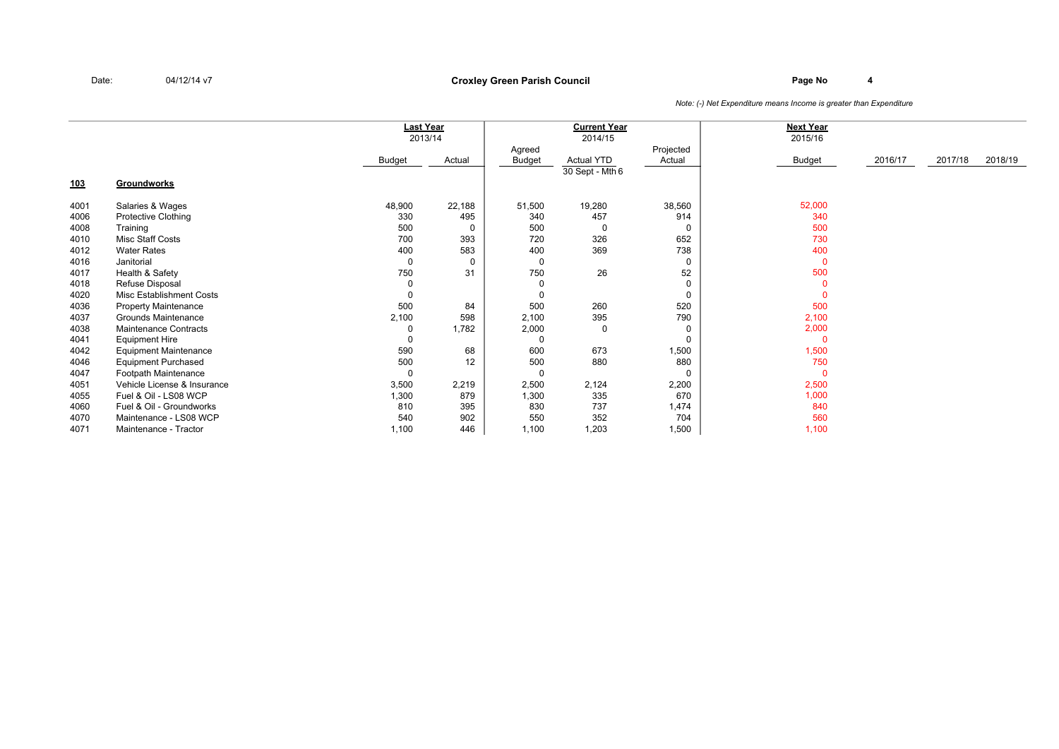### **Page No <sup>4</sup> Croxley Green Parish Council**

|            |                              |          | Last Year |               | <b>Current Year</b> |           | <b>Next Year</b> |         |         |         |
|------------|------------------------------|----------|-----------|---------------|---------------------|-----------|------------------|---------|---------|---------|
|            |                              |          | 2013/14   |               | 2014/15             |           | 2015/16          |         |         |         |
|            |                              |          |           | Agreed        |                     | Projected |                  |         |         |         |
|            |                              | Budget   | Actual    | <b>Budget</b> | <b>Actual YTD</b>   | Actual    | Budget           | 2016/17 | 2017/18 | 2018/19 |
|            |                              |          |           |               | 30 Sept - Mth 6     |           |                  |         |         |         |
| <u>103</u> | Groundworks                  |          |           |               |                     |           |                  |         |         |         |
| 4001       | Salaries & Wages             | 48,900   | 22,188    | 51,500        | 19,280              | 38,560    | 52,000           |         |         |         |
| 4006       | <b>Protective Clothing</b>   | 330      | 495       | 340           | 457                 | 914       | 340              |         |         |         |
| 4008       | Training                     | 500      | $\Omega$  | 500           | $\Omega$            | 0         | 500              |         |         |         |
| 4010       | Misc Staff Costs             | 700      | 393       | 720           | 326                 | 652       | 730              |         |         |         |
| 4012       | <b>Water Rates</b>           | 400      | 583       | 400           | 369                 | 738       | 400              |         |         |         |
| 4016       | Janitorial                   | 0        | 0         | 0             |                     | 0         | $\mathbf{0}$     |         |         |         |
| 4017       | Health & Safety              | 750      | 31        | 750           | 26                  | 52        | 500              |         |         |         |
| 4018       | Refuse Disposal              | 0        |           | 0             |                     | 0         | $\Omega$         |         |         |         |
| 4020       | Misc Establishment Costs     | $\Omega$ |           | 0             |                     | 0         | $\Omega$         |         |         |         |
| 4036       | <b>Property Maintenance</b>  | 500      | 84        | 500           | 260                 | 520       | 500              |         |         |         |
| 4037       | Grounds Maintenance          | 2,100    | 598       | 2,100         | 395                 | 790       | 2,100            |         |         |         |
| 4038       | <b>Maintenance Contracts</b> | 0        | 1,782     | 2,000         | $\mathbf 0$         | 0         | 2,000            |         |         |         |
| 4041       | <b>Equipment Hire</b>        | $\Omega$ |           | $\Omega$      |                     | $\Omega$  | $\mathbf{0}$     |         |         |         |
| 4042       | <b>Equipment Maintenance</b> | 590      | 68        | 600           | 673                 | 1,500     | 1,500            |         |         |         |
| 4046       | <b>Equipment Purchased</b>   | 500      | 12        | 500           | 880                 | 880       | 750              |         |         |         |
| 4047       | Footpath Maintenance         | 0        |           | 0             |                     | 0         | $\mathbf{0}$     |         |         |         |
| 4051       | Vehicle License & Insurance  | 3,500    | 2,219     | 2,500         | 2,124               | 2,200     | 2,500            |         |         |         |
| 4055       | Fuel & Oil - LS08 WCP        | 1,300    | 879       | 1,300         | 335                 | 670       | 1,000            |         |         |         |
| 4060       | Fuel & Oil - Groundworks     | 810      | 395       | 830           | 737                 | 1,474     | 840              |         |         |         |
| 4070       | Maintenance - LS08 WCP       | 540      | 902       | 550           | 352                 | 704       | 560              |         |         |         |
| 4071       | Maintenance - Tractor        | 1,100    | 446       | 1,100         | 1,203               | 1,500     | 1,100            |         |         |         |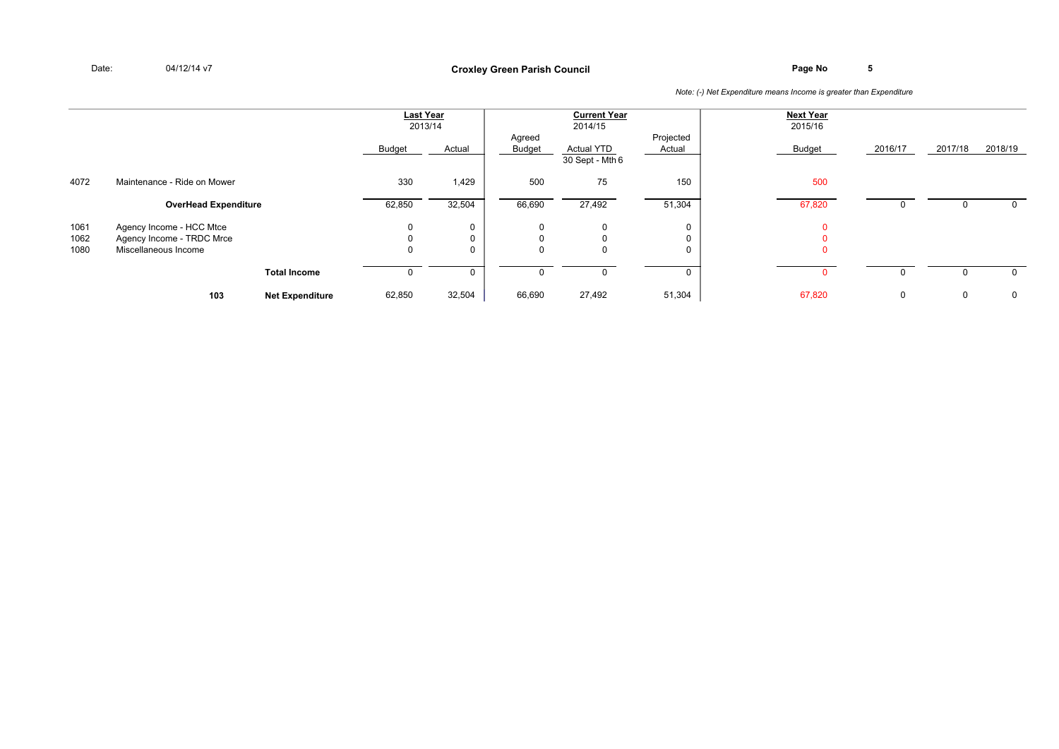|      |                             |                        | <b>Last Year</b> | 2013/14      | Agreed   | <b>Current Year</b><br>2014/15       | Projected | <b>Next Year</b><br>2015/16 |         |         |             |
|------|-----------------------------|------------------------|------------------|--------------|----------|--------------------------------------|-----------|-----------------------------|---------|---------|-------------|
|      |                             |                        | Budget           | Actual       | Budget   | <b>Actual YTD</b><br>30 Sept - Mth 6 | Actual    | Budget                      | 2016/17 | 2017/18 | 2018/19     |
| 4072 | Maintenance - Ride on Mower |                        | 330              | 1,429        | 500      | 75                                   | 150       | 500                         |         |         |             |
|      | <b>OverHead Expenditure</b> |                        | 62,850           | 32,504       | 66,690   | 27,492                               | 51,304    | 67,820                      |         |         |             |
| 1061 | Agency Income - HCC Mtce    |                        | 0                | $\Omega$     | 0        | 0                                    |           |                             |         |         |             |
| 1062 | Agency Income - TRDC Mrce   |                        | 0                | $\mathbf{0}$ | $\Omega$ | $\Omega$                             |           |                             |         |         |             |
| 1080 | Miscellaneous Income        |                        | 0                |              |          | $\Omega$                             |           |                             |         |         |             |
|      |                             | <b>Total Income</b>    |                  |              |          |                                      |           |                             |         |         |             |
|      | 103                         | <b>Net Expenditure</b> | 62,850           | 32,504       | 66,690   | 27,492                               | 51,304    | 67,820                      | 0       | 0       | $\mathbf 0$ |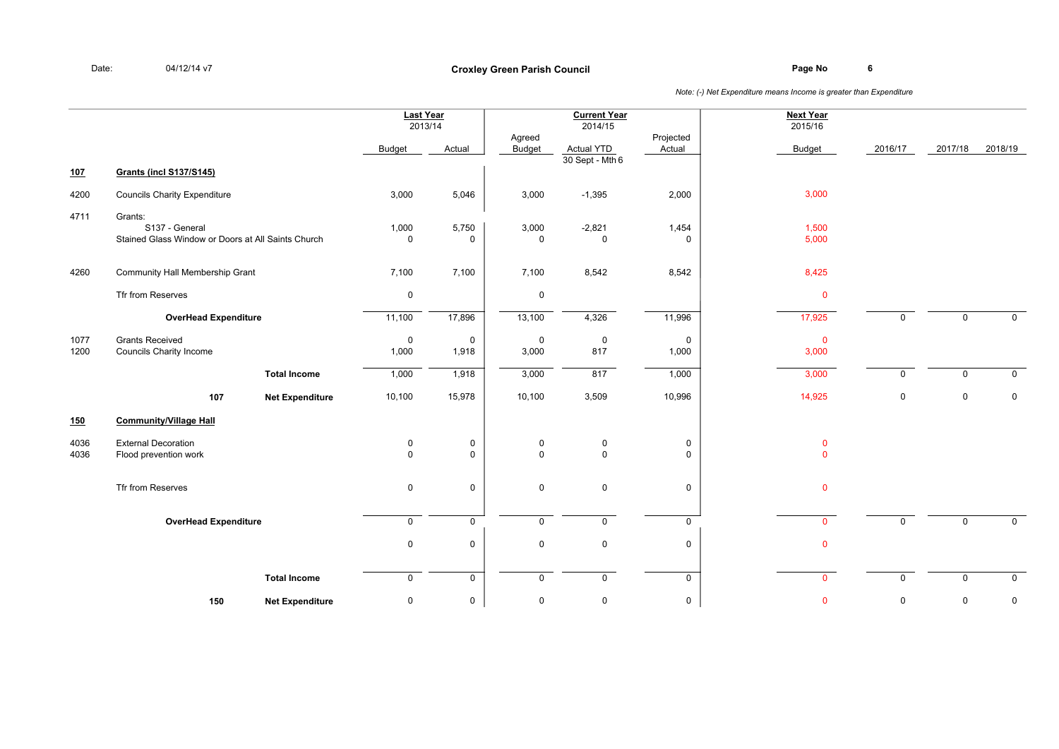|              |                                                                                 |                        | <b>Last Year</b><br>2013/14 |                            |                            | <b>Current Year</b><br>2014/15         |                       | <b>Next Year</b><br>2015/16 |             |                     |              |
|--------------|---------------------------------------------------------------------------------|------------------------|-----------------------------|----------------------------|----------------------------|----------------------------------------|-----------------------|-----------------------------|-------------|---------------------|--------------|
|              |                                                                                 |                        | <b>Budget</b>               | Actual                     | Agreed<br>Budget           | <b>Actual YTD</b><br>$30$ Sept - Mth 6 | Projected<br>Actual   | <b>Budget</b>               | 2016/17     | 2017/18             | 2018/19      |
| 107          | <b>Grants (incl S137/S145)</b>                                                  |                        |                             |                            |                            |                                        |                       |                             |             |                     |              |
| 4200         | <b>Councils Charity Expenditure</b>                                             |                        | 3,000                       | 5,046                      | 3,000                      | $-1,395$                               | 2,000                 | 3,000                       |             |                     |              |
| 4711         | Grants:<br>S137 - General<br>Stained Glass Window or Doors at All Saints Church |                        | 1,000<br>0                  | 5,750<br>$\mathbf 0$       | 3,000<br>$\Omega$          | $-2,821$<br>$\mathbf 0$                | 1,454<br>$\mathbf 0$  | 1,500<br>5,000              |             |                     |              |
| 4260         | Community Hall Membership Grant                                                 |                        | 7,100                       | 7,100                      | 7,100                      | 8,542                                  | 8,542                 | 8,425                       |             |                     |              |
|              | Tfr from Reserves                                                               |                        | 0                           |                            | $\mathbf 0$                |                                        |                       | $\mathbf 0$                 |             |                     |              |
|              | <b>OverHead Expenditure</b>                                                     |                        | 11,100                      | 17,896                     | 13,100                     | 4,326                                  | 11,996                | 17,925                      | $\Omega$    | $\mathbf 0$         | $\Omega$     |
| 1077<br>1200 | <b>Grants Received</b><br>Councils Charity Income                               |                        | $\mathbf 0$<br>1,000        | $\mathsf 0$<br>1,918       | $\mathbf 0$<br>3,000       | $\mathsf 0$<br>817                     | $\mathsf{O}$<br>1,000 | $\mathbf 0$<br>3,000        |             |                     |              |
|              |                                                                                 | <b>Total Income</b>    | 1,000                       | 1,918                      | 3,000                      | 817                                    | 1,000                 | 3,000                       | $\mathbf 0$ | $\mathbf 0$         | $\mathsf{O}$ |
|              | 107                                                                             | <b>Net Expenditure</b> | 10,100                      | 15,978                     | 10,100                     | 3,509                                  | 10,996                | 14,925                      | 0           | $\mathsf{O}\xspace$ | $\mathbf 0$  |
| 150          | <b>Community/Village Hall</b>                                                   |                        |                             |                            |                            |                                        |                       |                             |             |                     |              |
| 4036<br>4036 | <b>External Decoration</b><br>Flood prevention work                             |                        | 0<br>0                      | $\mathsf 0$<br>$\mathbf 0$ | $\mathbf 0$<br>$\mathbf 0$ | $\mathbf 0$<br>$\mathsf 0$             | 0<br>0                | $\mathbf 0$<br>$\mathbf{0}$ |             |                     |              |
|              | Tfr from Reserves                                                               |                        | $\mathsf{O}\xspace$         | $\mathsf 0$                | $\mathbf 0$                | $\mathsf 0$                            | 0                     | $\mathbf 0$                 |             |                     |              |
|              | <b>OverHead Expenditure</b>                                                     |                        | $\mathbf 0$                 | $\mathbf 0$                | $\Omega$                   | $\Omega$                               | $\mathbf 0$           | $\mathbf{0}$                | $\Omega$    | $\mathbf 0$         | $\mathbf{0}$ |
|              |                                                                                 |                        | $\mathbf 0$                 | $\mathsf 0$                | $\mathbf 0$                | $\mathsf 0$                            | 0                     | $\mathbf 0$                 |             |                     |              |
|              |                                                                                 | <b>Total Income</b>    | 0                           | 0                          | $\mathbf 0$                | $\mathbf 0$                            | 0                     | $\mathbf 0$                 | 0           | $\mathbf 0$         | $\mathbf 0$  |
|              | 150                                                                             | <b>Net Expenditure</b> | 0                           | $\pmb{0}$                  | 0                          | 0                                      | 0                     | $\mathbf 0$                 | 0           | $\mathsf{O}\xspace$ | 0            |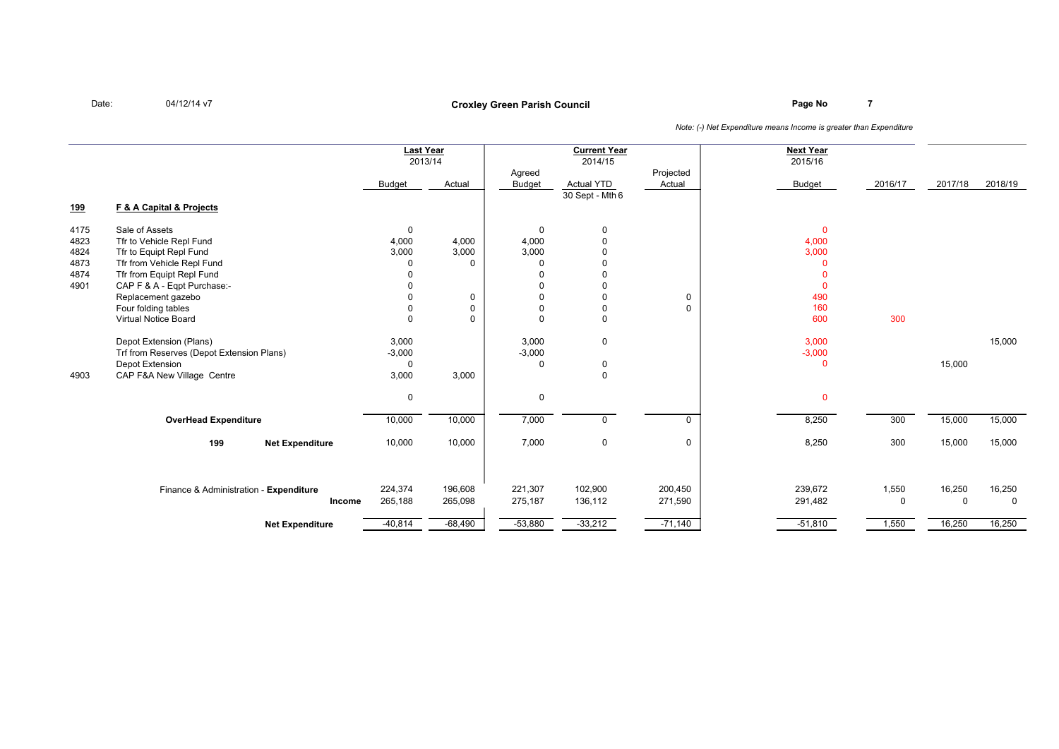### **Page No <sup>7</sup> Croxley Green Parish Council**

|            |                                             |                      | <b>Last Year</b><br>2013/14 |                            | <b>Current Year</b><br>2014/15           |                             | <b>Next Year</b><br>2015/16 |          |          |          |
|------------|---------------------------------------------|----------------------|-----------------------------|----------------------------|------------------------------------------|-----------------------------|-----------------------------|----------|----------|----------|
|            |                                             | <b>Budget</b>        | Actual                      | Agreed<br><b>Budget</b>    | <b>Actual YTD</b><br>$30$ Sept - Mth $6$ | Projected<br>Actual         | <b>Budget</b>               | 2016/17  | 2017/18  | 2018/19  |
| <u>199</u> | <b>F &amp; A Capital &amp; Projects</b>     |                      |                             |                            |                                          |                             |                             |          |          |          |
| 4175       | Sale of Assets                              | 0                    |                             | $\mathbf 0$                | $\mathbf 0$                              |                             | $\mathbf 0$                 |          |          |          |
| 4823       | Tfr to Vehicle Repl Fund                    | 4,000                | 4,000                       | 4,000                      | $\Omega$                                 |                             | 4,000                       |          |          |          |
| 4824       | Tfr to Equipt Repl Fund                     | 3,000                | 3,000                       | 3,000                      |                                          |                             | 3,000                       |          |          |          |
| 4873       | Tfr from Vehicle Repl Fund                  | $\Omega$             | $\Omega$                    | 0                          | $\cap$                                   |                             | $\Omega$                    |          |          |          |
| 4874       | Tfr from Equipt Repl Fund                   | $\Omega$             |                             | $\Omega$                   | $\Omega$                                 |                             | $\Omega$                    |          |          |          |
| 4901       | CAP F & A - Eqpt Purchase:-                 | $\Omega$             |                             | $\mathbf 0$                | $\Omega$                                 |                             | $\Omega$                    |          |          |          |
|            | Replacement gazebo                          | $\Omega$<br>$\Omega$ | $\mathbf 0$<br>$\Omega$     | $\mathbf 0$<br>$\mathbf 0$ | $\Omega$<br>$\mathbf 0$                  | $\mathsf{O}$<br>$\mathbf 0$ | 490<br>160                  |          |          |          |
|            | Four folding tables<br>Virtual Notice Board | $\mathbf 0$          | $\Omega$                    | $\mathbf 0$                | $\mathbf 0$                              |                             | 600                         | 300      |          |          |
|            |                                             |                      |                             |                            |                                          |                             |                             |          |          |          |
|            | Depot Extension (Plans)                     | 3,000                |                             | 3,000                      | $\mathbf 0$                              |                             | 3,000                       |          |          | 15,000   |
|            | Trf from Reserves (Depot Extension Plans)   | $-3,000$             |                             | $-3,000$                   |                                          |                             | $-3,000$                    |          |          |          |
|            | Depot Extension                             | $\mathbf 0$          |                             | $\mathbf{0}$               | $\mathbf 0$                              |                             | $\Omega$                    |          | 15,000   |          |
| 4903       | CAP F&A New Village Centre                  | 3,000                | 3,000                       |                            | $\Omega$                                 |                             |                             |          |          |          |
|            |                                             | 0                    |                             | $\mathbf 0$                |                                          |                             | $\Omega$                    |          |          |          |
|            | <b>OverHead Expenditure</b>                 | 10,000               | 10,000                      | 7,000                      | $\Omega$                                 | $\Omega$                    | 8,250                       | 300      | 15,000   | 15,000   |
|            | 199<br><b>Net Expenditure</b>               | 10,000               | 10,000                      | 7,000                      | $\mathbf 0$                              | $\mathsf{O}$                | 8,250                       | 300      | 15,000   | 15,000   |
|            |                                             |                      |                             |                            |                                          |                             |                             |          |          |          |
|            | Finance & Administration - Expenditure      | 224,374              | 196,608                     | 221,307                    | 102,900                                  | 200,450                     | 239,672                     | 1,550    | 16,250   | 16,250   |
|            | Income                                      | 265,188              | 265,098                     | 275,187                    | 136,112                                  | 271,590                     | 291,482                     | $\Omega$ | $\Omega$ | $\Omega$ |
|            |                                             |                      |                             |                            |                                          |                             |                             |          |          |          |
|            | <b>Net Expenditure</b>                      | $-40,814$            | $-68,490$                   | $-53,880$                  | $-33,212$                                | $-71,140$                   | $-51,810$                   | 1,550    | 16,250   | 16,250   |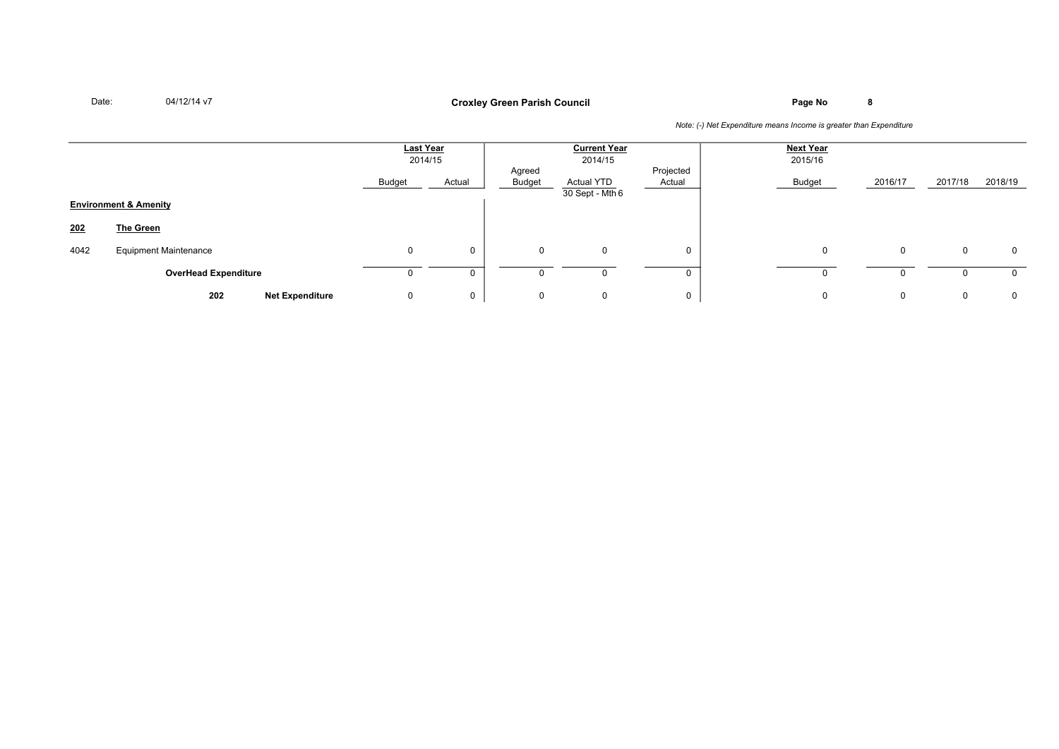### **Page No <sup>8</sup> Croxley Green Parish Council**

|      |                                  | <b>Last Year</b><br>2014/15 |             | <b>Current Year</b><br>2014/15 |                                      |                     | <b>Next Year</b><br>2015/16 |             |             |            |
|------|----------------------------------|-----------------------------|-------------|--------------------------------|--------------------------------------|---------------------|-----------------------------|-------------|-------------|------------|
|      |                                  | Budget                      | Actual      | Agreed<br>Budget               | <b>Actual YTD</b><br>30 Sept - Mth 6 | Projected<br>Actual | Budget                      | 2016/17     | 2017/18     | 2018/19    |
|      | <b>Environment &amp; Amenity</b> |                             |             |                                |                                      |                     |                             |             |             |            |
| 202  | The Green                        |                             |             |                                |                                      |                     |                             |             |             |            |
| 4042 | <b>Equipment Maintenance</b>     | 0                           | $\mathbf 0$ | $\mathbf 0$                    | 0                                    | 0                   | $\Omega$                    | $\Omega$    | $\mathbf 0$ | 0          |
|      | <b>OverHead Expenditure</b>      |                             | 0           |                                |                                      |                     |                             |             |             | $^{\circ}$ |
|      | 202<br><b>Net Expenditure</b>    | 0                           | 0           | $\mathbf{0}$                   | 0                                    | 0                   | 0                           | $\mathbf 0$ | 0           | 0          |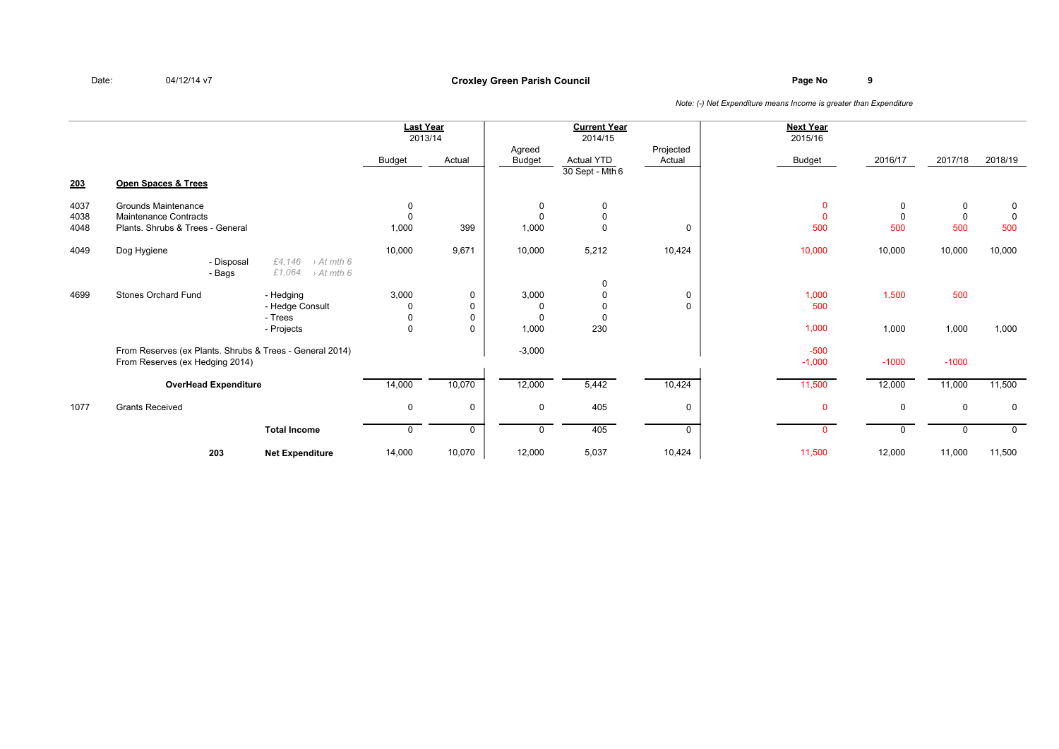### **Page No <sup>9</sup> Croxley Green Parish Council**

|              |                                                                                             |                                                                      | Last Year<br>2013/14       |                  |                         | <b>Current Year</b><br>2014/15       |                     | <b>Next Year</b><br>2015/16 |                 |                    |                    |
|--------------|---------------------------------------------------------------------------------------------|----------------------------------------------------------------------|----------------------------|------------------|-------------------------|--------------------------------------|---------------------|-----------------------------|-----------------|--------------------|--------------------|
|              |                                                                                             |                                                                      | Budget                     | Actual           | Agreed<br><b>Budget</b> | <b>Actual YTD</b><br>30 Sept - Mth 6 | Projected<br>Actual | <b>Budget</b>               | 2016/17         | 2017/18            | 2018/19            |
| 203          | Open Spaces & Trees                                                                         |                                                                      |                            |                  |                         |                                      |                     |                             |                 |                    |                    |
| 4037         | <b>Grounds Maintenance</b>                                                                  |                                                                      | $\mathbf 0$                |                  | 0                       | $\Omega$                             |                     | $\Omega$                    | 0               | 0                  | 0                  |
| 4038<br>4048 | <b>Maintenance Contracts</b><br>Plants. Shrubs & Trees - General                            |                                                                      | $\mathbf 0$<br>1,000       | 399              | $\Omega$<br>1,000       | 0                                    | 0                   | $\Omega$<br>500             | $\Omega$<br>500 | $\mathbf 0$<br>500 | $\mathbf 0$<br>500 |
| 4049         | Dog Hygiene                                                                                 |                                                                      | 10,000                     | 9,671            | 10,000                  | 5,212                                | 10,424              | 10,000                      | 10,000          | 10,000             | 10,000             |
|              | - Disposal<br>- Bags                                                                        | £4,146<br>$\rightarrow$ At mth 6<br>£1,064<br>$\rightarrow$ At mth 6 |                            |                  |                         | $\Omega$                             |                     |                             |                 |                    |                    |
| 4699         | <b>Stones Orchard Fund</b>                                                                  | - Hedging<br>- Hedge Consult                                         | 3,000<br>0                 | 0<br>0           | 3,000<br>0              |                                      | $\mathbf 0$<br>0    | 1,000<br>500                | 1,500           | 500                |                    |
|              |                                                                                             | - Trees<br>- Projects                                                | $\mathsf 0$<br>$\mathbf 0$ | 0<br>$\mathbf 0$ | $\Omega$<br>1,000       | 230                                  |                     | 1,000                       | 1,000           | 1,000              | 1,000              |
|              | From Reserves (ex Plants. Shrubs & Trees - General 2014)<br>From Reserves (ex Hedging 2014) |                                                                      |                            |                  | $-3,000$                |                                      |                     | $-500$<br>$-1,000$          | $-1000$         | $-1000$            |                    |
|              | <b>OverHead Expenditure</b>                                                                 |                                                                      | 14,000                     | 10,070           | 12,000                  | 5,442                                | 10,424              | 11,500                      | 12,000          | 11,000             | 11,500             |
| 1077         | <b>Grants Received</b>                                                                      |                                                                      | $\mathbf 0$                | $\mathbf 0$      | $\mathbf 0$             | 405                                  | 0                   | $\Omega$                    | $\mathbf 0$     | $\mathbf 0$        | $\mathsf{O}$       |
|              |                                                                                             | <b>Total Income</b>                                                  | 0                          | $\mathbf 0$      | $\mathbf 0$             | 405                                  | $\mathbf 0$         | $\mathbf{0}$                | $\mathbf 0$     | $\mathbf 0$        | $\mathbf 0$        |
|              | 203                                                                                         | <b>Net Expenditure</b>                                               | 14,000                     | 10,070           | 12,000                  | 5,037                                | 10,424              | 11,500                      | 12,000          | 11,000             | 11,500             |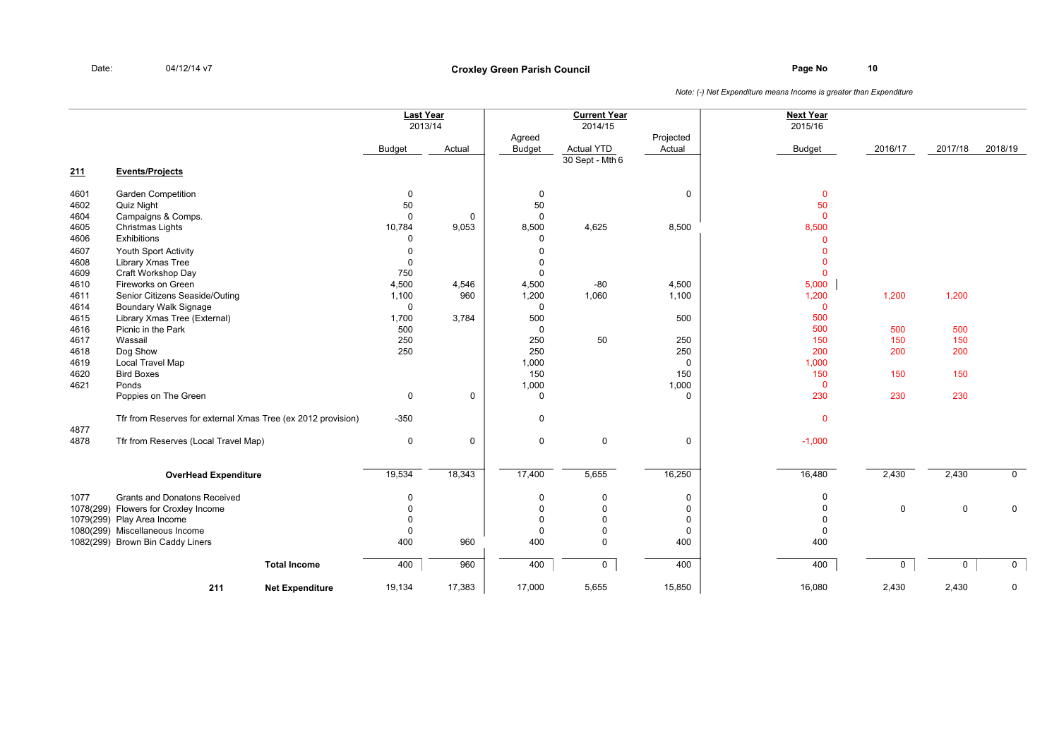|      |                                                              |                        |               | Last Year<br>2013/14 |                         | <b>Current Year</b><br>$\overline{2014/15}$ |                     | <b>Next Year</b><br>2015/16 |         |             |                |
|------|--------------------------------------------------------------|------------------------|---------------|----------------------|-------------------------|---------------------------------------------|---------------------|-----------------------------|---------|-------------|----------------|
|      |                                                              |                        | <b>Budget</b> | Actual               | Agreed<br><b>Budget</b> | <b>Actual YTD</b><br>$30$ Sept - Mth 6      | Projected<br>Actual | <b>Budget</b>               | 2016/17 | 2017/18     | 2018/19        |
| 211  | <b>Events/Projects</b>                                       |                        |               |                      |                         |                                             |                     |                             |         |             |                |
| 4601 | <b>Garden Competition</b>                                    |                        | 0             |                      | $\mathbf 0$             |                                             | $\mathbf 0$         | $\mathbf 0$                 |         |             |                |
| 4602 | Quiz Night                                                   |                        | 50            |                      | 50                      |                                             |                     | 50                          |         |             |                |
| 4604 | Campaigns & Comps.                                           |                        | $\Omega$      | $\mathbf 0$          | $\Omega$                |                                             |                     | $\mathbf{0}$                |         |             |                |
| 4605 | Christmas Lights                                             |                        | 10,784        | 9,053                | 8,500                   | 4,625                                       | 8,500               | 8,500                       |         |             |                |
| 4606 | Exhibitions                                                  |                        | 0             |                      | $\mathbf 0$             |                                             |                     | $\Omega$                    |         |             |                |
| 4607 | Youth Sport Activity                                         |                        | 0             |                      | $\mathbf 0$             |                                             |                     | $\Omega$                    |         |             |                |
| 4608 | Library Xmas Tree                                            |                        | $\Omega$      |                      | $\mathbf 0$             |                                             |                     | $\mathbf{0}$                |         |             |                |
| 4609 | Craft Workshop Day                                           |                        | 750           |                      | $\mathbf 0$             |                                             |                     | $\mathbf{0}$                |         |             |                |
| 4610 | Fireworks on Green                                           |                        | 4,500         | 4,546                | 4,500                   | $-80$                                       | 4,500               | 5,000                       |         |             |                |
| 4611 | Senior Citizens Seaside/Outing                               |                        | 1,100         | 960                  | 1,200                   | 1,060                                       | 1,100               | 1,200                       | 1,200   | 1,200       |                |
| 4614 | Boundary Walk Signage                                        |                        | $\mathbf 0$   |                      | $\mathbf 0$             |                                             |                     | $\mathbf{0}$                |         |             |                |
| 4615 | Library Xmas Tree (External)                                 |                        | 1,700         | 3,784                | 500                     |                                             | 500                 | 500                         |         |             |                |
| 4616 | Picnic in the Park                                           |                        | 500           |                      | $\mathbf 0$             |                                             |                     | 500                         | 500     | 500         |                |
| 4617 | Wassail                                                      |                        | 250           |                      | 250                     | 50                                          | 250                 | 150                         | 150     | 150         |                |
| 4618 | Dog Show                                                     |                        | 250           |                      | 250                     |                                             | 250                 | 200                         | 200     | 200         |                |
| 4619 | <b>Local Travel Map</b>                                      |                        |               |                      | 1,000                   |                                             | $\mathbf 0$         | 1,000                       |         |             |                |
| 4620 | <b>Bird Boxes</b>                                            |                        |               |                      | 150                     |                                             | 150                 | 150                         | 150     | 150         |                |
| 4621 | Ponds                                                        |                        |               |                      | 1,000                   |                                             | 1,000               | $\mathbf{0}$                |         |             |                |
|      | Poppies on The Green                                         |                        | $\mathsf 0$   | $\mathsf 0$          | $\mathbf 0$             |                                             | $\mathbf 0$         | 230                         | 230     | 230         |                |
|      | Tfr from Reserves for external Xmas Tree (ex 2012 provision) |                        | $-350$        |                      | 0                       |                                             |                     | $\mathbf 0$                 |         |             |                |
| 4877 |                                                              |                        |               |                      |                         |                                             |                     |                             |         |             |                |
| 4878 | Tfr from Reserves (Local Travel Map)                         |                        | $\mathsf 0$   | $\mathsf 0$          | $\mathbf 0$             | $\mathbf 0$                                 | 0                   | $-1,000$                    |         |             |                |
|      | <b>OverHead Expenditure</b>                                  |                        | 19,534        | 18,343               | 17,400                  | 5,655                                       | 16,250              | 16,480                      | 2,430   | 2,430       | $\overline{0}$ |
|      |                                                              |                        |               |                      |                         |                                             |                     |                             |         |             |                |
| 1077 | <b>Grants and Donatons Received</b>                          |                        | 0             |                      | 0                       | $\mathbf 0$                                 | 0                   | $\Omega$                    |         |             |                |
|      | 1078(299) Flowers for Croxley Income                         |                        | $\mathbf 0$   |                      | $\pmb{0}$               | $\mathbf{0}$                                | 0                   | $\Omega$                    | 0       | $\mathsf 0$ | $\mathbf 0$    |
|      | 1079(299) Play Area Income                                   |                        | $\Omega$      |                      | $\mathbf 0$             | $\mathbf 0$                                 | $\mathbf 0$         | $\Omega$                    |         |             |                |
|      | 1080(299) Miscellaneous Income                               |                        | $\mathbf 0$   |                      | $\mathbf 0$             | $\mathbf 0$                                 | 0                   | $\Omega$                    |         |             |                |
|      | 1082(299) Brown Bin Caddy Liners                             |                        | 400           | 960                  | 400                     | $\Omega$                                    | 400                 | 400                         |         |             |                |
|      |                                                              | <b>Total Income</b>    | 400           | 960                  | 400                     | $\mathbf 0$                                 | 400                 | 400                         | 0       | $\mathbf 0$ | $\overline{0}$ |
|      | 211                                                          | <b>Net Expenditure</b> | 19,134        | 17,383               | 17,000                  | 5,655                                       | 15,850              | 16,080                      | 2,430   | 2,430       | 0              |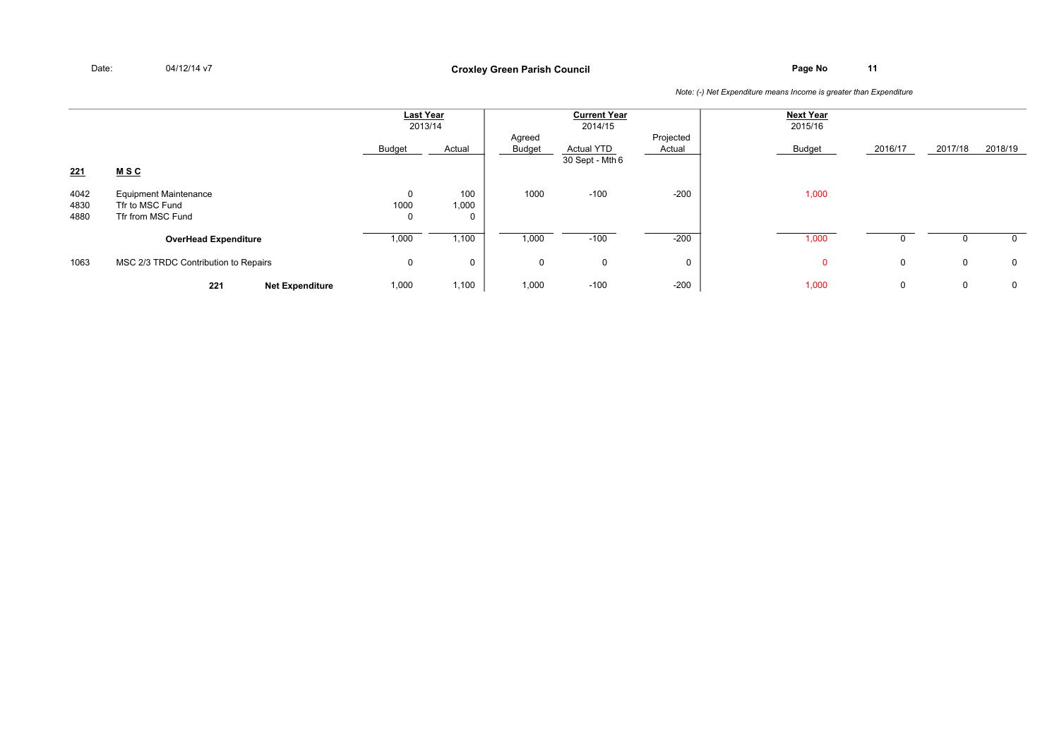## **Page No <sup>11</sup> Croxley Green Parish Council**

|                      |                                                                      |                          | Last Year<br>2013/14 |                  | <b>Current Year</b><br>2014/15       |                     | <b>Next Year</b><br>2015/16 |             |         |             |
|----------------------|----------------------------------------------------------------------|--------------------------|----------------------|------------------|--------------------------------------|---------------------|-----------------------------|-------------|---------|-------------|
|                      |                                                                      | Budget                   | Actual               | Agreed<br>Budget | <b>Actual YTD</b><br>30 Sept - Mth 6 | Projected<br>Actual | Budget                      | 2016/17     | 2017/18 | 2018/19     |
| 221                  | <b>MSC</b>                                                           |                          |                      |                  |                                      |                     |                             |             |         |             |
| 4042<br>4830<br>4880 | <b>Equipment Maintenance</b><br>Tfr to MSC Fund<br>Tfr from MSC Fund | 0<br>1000<br>$\mathbf 0$ | 100<br>1,000<br>0    | 1000             | $-100$                               | $-200$              | 1,000                       |             |         |             |
|                      | <b>OverHead Expenditure</b>                                          | 1,000                    | 1,100                | 1,000            | $-100$                               | $-200$              | 1,000                       |             |         | $\Omega$    |
| 1063                 | MSC 2/3 TRDC Contribution to Repairs                                 | $\mathbf 0$              | $\mathbf{0}$         | 0                | 0                                    | $\mathbf 0$         | $\Omega$                    | $\mathbf 0$ | 0       | $\mathbf 0$ |
|                      | 221<br><b>Net Expenditure</b>                                        | 1,000                    | 1,100                | 1,000            | $-100$                               | $-200$              | 1,000                       | 0           | 0       | $\mathbf 0$ |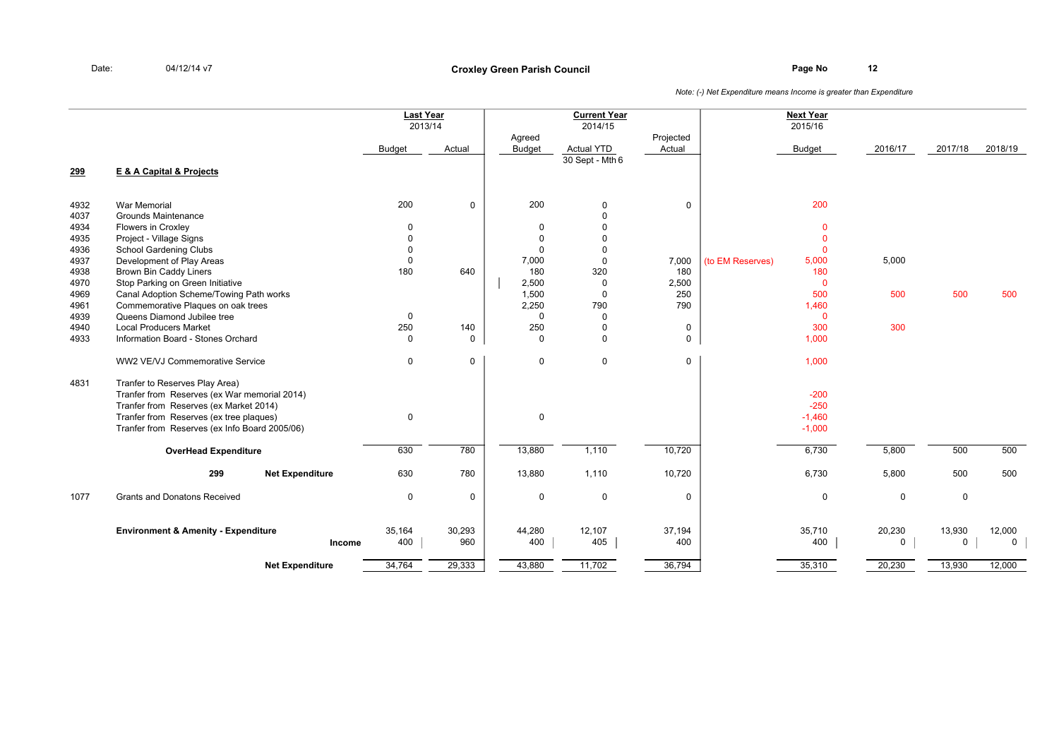|              |                                                                                                                                                                                                                      | <b>Last Year</b> | 2013/14       |                         | <b>Current Year</b><br>2014/15 |                     |                  | <b>Next Year</b><br>2015/16              |             |                       |                        |
|--------------|----------------------------------------------------------------------------------------------------------------------------------------------------------------------------------------------------------------------|------------------|---------------|-------------------------|--------------------------------|---------------------|------------------|------------------------------------------|-------------|-----------------------|------------------------|
|              |                                                                                                                                                                                                                      | <b>Budget</b>    | Actual        | Agreed<br><b>Budget</b> | <b>Actual YTD</b>              | Projected<br>Actual |                  | <b>Budget</b>                            | 2016/17     | 2017/18               | 2018/19                |
| 299          | E & A Capital & Projects                                                                                                                                                                                             |                  |               |                         | 30 Sept - Mth 6                |                     |                  |                                          |             |                       |                        |
| 4932         | <b>War Memorial</b>                                                                                                                                                                                                  | 200              | $\mathbf 0$   | 200                     | 0                              | $\mathbf 0$         |                  | 200                                      |             |                       |                        |
| 4037         | Grounds Maintenance                                                                                                                                                                                                  |                  |               |                         | $\Omega$                       |                     |                  |                                          |             |                       |                        |
| 4934         | Flowers in Croxley                                                                                                                                                                                                   | 0                |               | $\mathbf 0$             |                                |                     |                  | $\mathbf{0}$                             |             |                       |                        |
| 4935         | Project - Village Signs                                                                                                                                                                                              | $\mathsf 0$      |               | $\mathbf 0$             | $\Omega$                       |                     |                  | $\mathbf 0$                              |             |                       |                        |
| 4936         | <b>School Gardening Clubs</b>                                                                                                                                                                                        | $\mathbf 0$      |               | $\Omega$                | $\Omega$                       |                     |                  | $\Omega$                                 |             |                       |                        |
| 4937         | Development of Play Areas                                                                                                                                                                                            | $\mathbf 0$      |               | 7,000                   | $\mathbf 0$                    | 7,000               | (to EM Reserves) | 5,000                                    | 5,000       |                       |                        |
| 4938         | <b>Brown Bin Caddy Liners</b>                                                                                                                                                                                        | 180              | 640           | 180                     | 320                            | 180                 |                  | 180                                      |             |                       |                        |
| 4970<br>4969 | Stop Parking on Green Initiative                                                                                                                                                                                     |                  |               | 2,500<br>1,500          | $\Omega$<br>$\Omega$           | 2,500<br>250        |                  | $\Omega$<br>500                          | 500         | 500                   | 500                    |
| 4961         | Canal Adoption Scheme/Towing Path works<br>Commemorative Plagues on oak trees                                                                                                                                        |                  |               | 2,250                   | 790                            | 790                 |                  | 1,460                                    |             |                       |                        |
| 4939         | Queens Diamond Jubilee tree                                                                                                                                                                                          | $\mathbf 0$      |               | $\Omega$                | $\mathbf 0$                    |                     |                  | $\mathbf{0}$                             |             |                       |                        |
| 4940         | <b>Local Producers Market</b>                                                                                                                                                                                        | 250              | 140           | 250                     | $\mathbf 0$                    | 0                   |                  | 300                                      | 300         |                       |                        |
| 4933         | Information Board - Stones Orchard                                                                                                                                                                                   | $\mathbf 0$      | $\mathbf 0$   | $\Omega$                | $\Omega$                       | $\mathbf 0$         |                  | 1,000                                    |             |                       |                        |
|              | WW2 VE/VJ Commemorative Service                                                                                                                                                                                      | $\mathsf 0$      | $\mathbf 0$   | $\mathbf 0$             | $\mathbf 0$                    | $\mathsf{O}$        |                  | 1,000                                    |             |                       |                        |
| 4831         | Tranfer to Reserves Play Area)<br>Tranfer from Reserves (ex War memorial 2014)<br>Tranfer from Reserves (ex Market 2014)<br>Tranfer from Reserves (ex tree plaques)<br>Tranfer from Reserves (ex Info Board 2005/06) | $\mathsf 0$      |               | 0                       |                                |                     |                  | $-200$<br>$-250$<br>$-1,460$<br>$-1,000$ |             |                       |                        |
|              | <b>OverHead Expenditure</b>                                                                                                                                                                                          | 630              | 780           | 13,880                  | 1,110                          | 10,720              |                  | 6,730                                    | 5,800       | 500                   | 500                    |
|              | 299<br><b>Net Expenditure</b>                                                                                                                                                                                        | 630              | 780           | 13,880                  | 1,110                          | 10,720              |                  | 6,730                                    | 5,800       | 500                   | 500                    |
| 1077         | <b>Grants and Donatons Received</b>                                                                                                                                                                                  | $\mathsf 0$      | $\mathbf 0$   | $\mathbf 0$             | $\mathbf 0$                    | 0                   |                  | $\mathbf 0$                              | $\mathbf 0$ | $\mathbf 0$           |                        |
|              | <b>Environment &amp; Amenity - Expenditure</b><br>Income                                                                                                                                                             | 35,164<br>400    | 30,293<br>960 | 44,280<br>400           | 12,107<br>405                  | 37,194<br>400       |                  | 35,710<br>400                            | 20,230<br>0 | 13,930<br>$\mathbf 0$ | 12,000<br>$\mathsf{O}$ |
|              | <b>Net Expenditure</b>                                                                                                                                                                                               | 34,764           | 29,333        | 43,880                  | 11,702                         | 36,794              |                  | 35,310                                   | 20,230      | 13,930                | 12,000                 |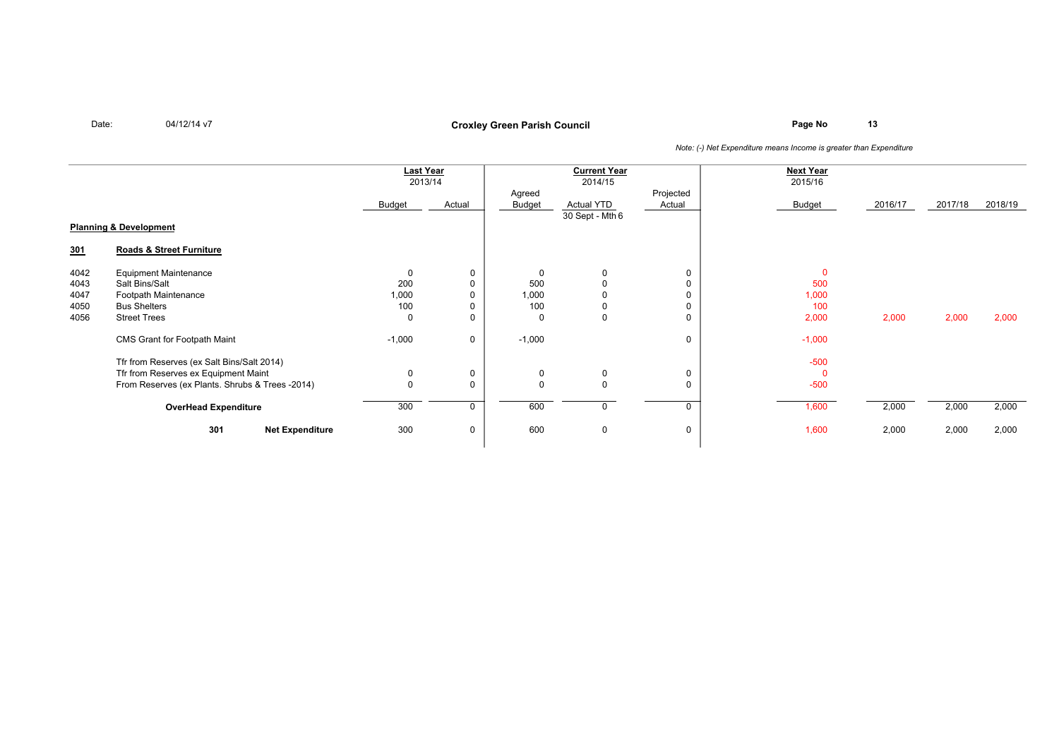Date:

04/12/14 v7

## **Page No <sup>13</sup> Croxley Green Parish Council**

|                                   |                                                 | <b>Last Year</b><br>2013/14 |             | <b>Current Year</b><br>2014/15 |                   |                     | <b>Next Year</b><br>2015/16 |         |         |         |
|-----------------------------------|-------------------------------------------------|-----------------------------|-------------|--------------------------------|-------------------|---------------------|-----------------------------|---------|---------|---------|
|                                   |                                                 | Budget                      | Actual      | Agreed<br>Budget               | <b>Actual YTD</b> | Projected<br>Actual | Budget                      | 2016/17 | 2017/18 | 2018/19 |
| <b>Planning &amp; Development</b> |                                                 |                             |             |                                | 30 Sept - Mth 6   |                     |                             |         |         |         |
| 301                               | Roads & Street Furniture                        |                             |             |                                |                   |                     |                             |         |         |         |
| 4042                              | <b>Equipment Maintenance</b>                    | $\mathbf 0$                 | 0           | $\mathbf 0$                    | $\Omega$          | 0                   | $\Omega$                    |         |         |         |
| 4043                              | Salt Bins/Salt                                  | 200                         |             | 500                            |                   | 0                   | 500                         |         |         |         |
| 4047                              | Footpath Maintenance                            | 1,000                       |             | 1,000                          |                   | 0                   | 1,000                       |         |         |         |
| 4050                              | <b>Bus Shelters</b>                             | 100                         |             | 100                            | 0                 | 0                   | 100                         |         |         |         |
| 4056                              | <b>Street Trees</b>                             | $\mathbf 0$                 | O           | $\mathbf 0$                    | $\mathbf 0$       | 0                   | 2,000                       | 2,000   | 2,000   | 2,000   |
|                                   | CMS Grant for Footpath Maint                    | $-1,000$                    | $\mathbf 0$ | $-1,000$                       |                   | 0                   | $-1,000$                    |         |         |         |
|                                   | Tfr from Reserves (ex Salt Bins/Salt 2014)      |                             |             |                                |                   |                     | $-500$                      |         |         |         |
|                                   | Tfr from Reserves ex Equipment Maint            | 0                           | 0           | 0                              | 0                 | 0                   | $\Omega$                    |         |         |         |
|                                   | From Reserves (ex Plants. Shrubs & Trees -2014) | $\Omega$                    | $\Omega$    | $\Omega$                       | $\mathbf 0$       | 0                   | $-500$                      |         |         |         |
|                                   | <b>OverHead Expenditure</b>                     |                             | 0           | 600                            | $\mathbf{0}$      | $\Omega$            | 1,600                       | 2,000   | 2,000   | 2,000   |
|                                   | 301<br><b>Net Expenditure</b>                   | 300                         | 0           | 600                            | 0                 | 0                   | 1,600                       | 2,000   | 2,000   | 2,000   |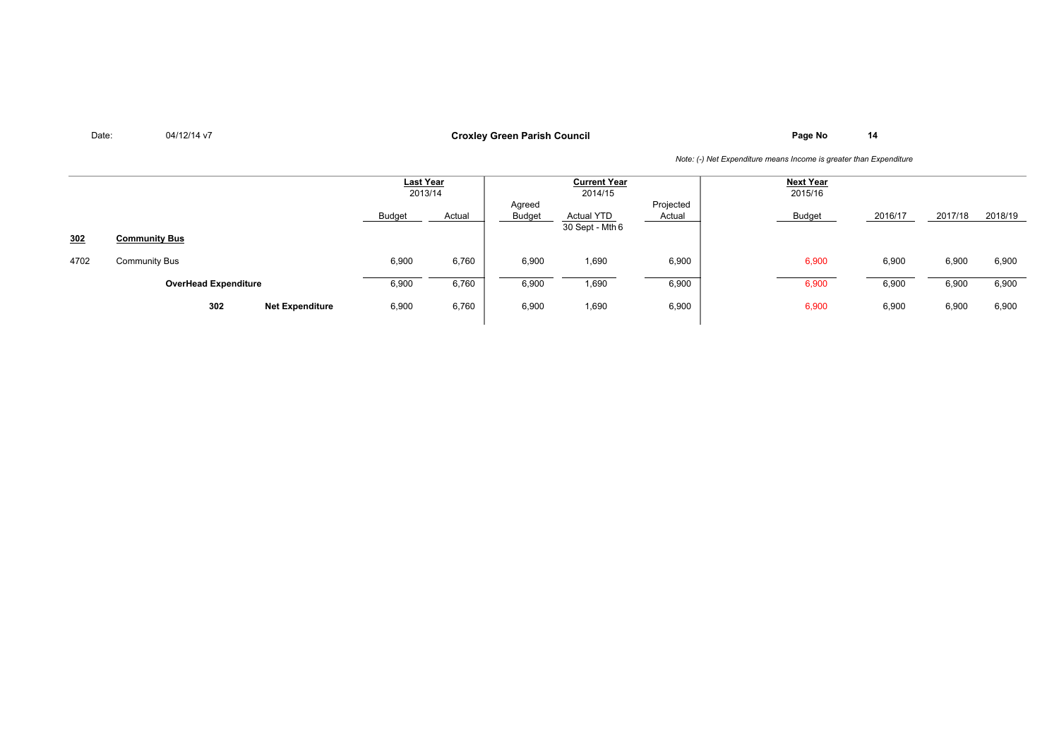# **Page No <sup>14</sup> Croxley Green Parish Council**

|      |                             |                        | Last Year<br>2013/14 |        | <b>Current Year</b><br>2014/15 |                                      |                     | <b>Next Year</b><br>2015/16 |         |         |         |
|------|-----------------------------|------------------------|----------------------|--------|--------------------------------|--------------------------------------|---------------------|-----------------------------|---------|---------|---------|
|      |                             |                        | <b>Budget</b>        | Actual | Agreed<br><b>Budget</b>        | <b>Actual YTD</b><br>30 Sept - Mth 6 | Projected<br>Actual | <b>Budget</b>               | 2016/17 | 2017/18 | 2018/19 |
| 302  | <b>Community Bus</b>        |                        |                      |        |                                |                                      |                     |                             |         |         |         |
| 4702 | <b>Community Bus</b>        |                        | 6,900                | 6,760  | 6,900                          | 1,690                                | 6,900               | 6,900                       | 6,900   | 6,900   | 6,900   |
|      | <b>OverHead Expenditure</b> |                        | 6,900                | 6,760  | 6,900                          | 1,690                                | 6,900               | 6,900                       | 6,900   | 6,900   | 6,900   |
|      | 302                         | <b>Net Expenditure</b> | 6,900                | 6,760  | 6,900                          | 1,690                                | 6,900               | 6,900                       | 6,900   | 6,900   | 6,900   |